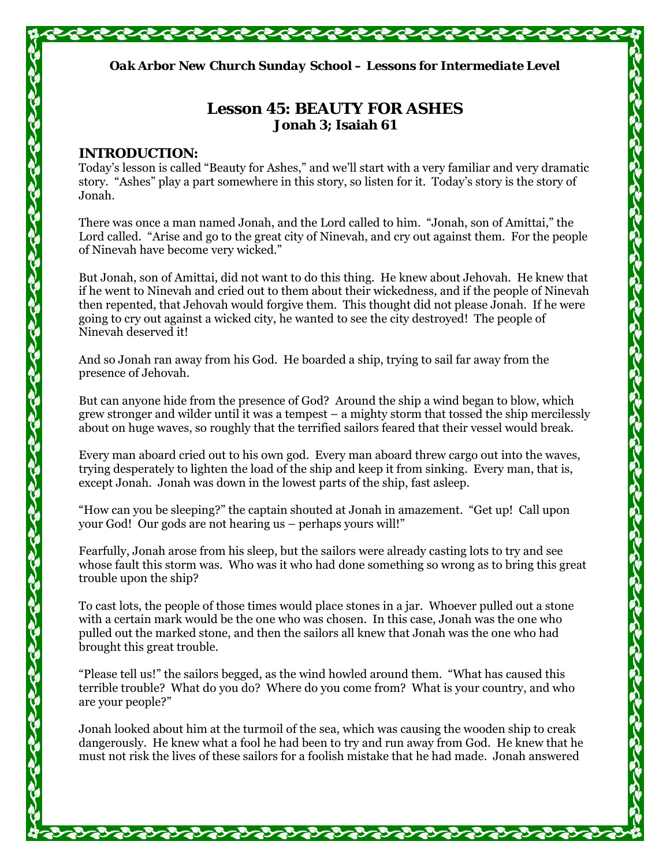*Oak Arbor New Church Sunday School – Lessons for Intermediate Level* 

# **Lesson 45: BEAUTY FOR ASHES Jonah 3; Isaiah 61**

# **INTRODUCTION:**

Today's lesson is called "Beauty for Ashes," and we'll start with a very familiar and very dramatic story. "Ashes" play a part somewhere in this story, so listen for it. Today's story is the story of Jonah.

There was once a man named Jonah, and the Lord called to him. "Jonah, son of Amittai," the Lord called. "Arise and go to the great city of Ninevah, and cry out against them. For the people of Ninevah have become very wicked."

But Jonah, son of Amittai, did not want to do this thing. He knew about Jehovah. He knew that if he went to Ninevah and cried out to them about their wickedness, and if the people of Ninevah then repented, that Jehovah would forgive them. This thought did not please Jonah. If he were going to cry out against a wicked city, he wanted to see the city destroyed! The people of Ninevah deserved it!

And so Jonah ran away from his God. He boarded a ship, trying to sail far away from the presence of Jehovah.

But can anyone hide from the presence of God? Around the ship a wind began to blow, which grew stronger and wilder until it was a tempest – a mighty storm that tossed the ship mercilessly about on huge waves, so roughly that the terrified sailors feared that their vessel would break.

Every man aboard cried out to his own god. Every man aboard threw cargo out into the waves, trying desperately to lighten the load of the ship and keep it from sinking. Every man, that is, except Jonah. Jonah was down in the lowest parts of the ship, fast asleep.

"How can you be sleeping?" the captain shouted at Jonah in amazement. "Get up! Call upon your God! Our gods are not hearing us – perhaps yours will!"

Fearfully, Jonah arose from his sleep, but the sailors were already casting lots to try and see whose fault this storm was. Who was it who had done something so wrong as to bring this great trouble upon the ship?

To cast lots, the people of those times would place stones in a jar. Whoever pulled out a stone with a certain mark would be the one who was chosen. In this case, Jonah was the one who pulled out the marked stone, and then the sailors all knew that Jonah was the one who had brought this great trouble.

"Please tell us!" the sailors begged, as the wind howled around them. "What has caused this terrible trouble? What do you do? Where do you come from? What is your country, and who are your people?"

Jonah looked about him at the turmoil of the sea, which was causing the wooden ship to creak dangerously. He knew what a fool he had been to try and run away from God. He knew that he must not risk the lives of these sailors for a foolish mistake that he had made. Jonah answered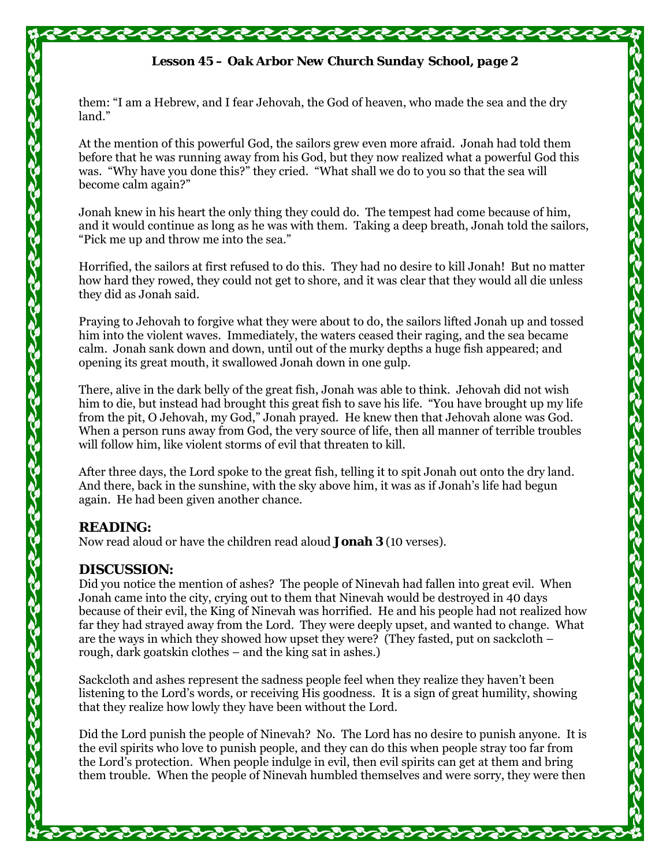# *Lesson 45 – Oak Arbor New Church Sunday School, page 2*

them: "I am a Hebrew, and I fear Jehovah, the God of heaven, who made the sea and the dry land."

At the mention of this powerful God, the sailors grew even more afraid. Jonah had told them before that he was running away from his God, but they now realized what a powerful God this was. "Why have you done this?" they cried. "What shall we do to you so that the sea will become calm again?"

Jonah knew in his heart the only thing they could do. The tempest had come because of him, and it would continue as long as he was with them. Taking a deep breath, Jonah told the sailors, "Pick me up and throw me into the sea."

Horrified, the sailors at first refused to do this. They had no desire to kill Jonah! But no matter how hard they rowed, they could not get to shore, and it was clear that they would all die unless they did as Jonah said.

Praying to Jehovah to forgive what they were about to do, the sailors lifted Jonah up and tossed him into the violent waves. Immediately, the waters ceased their raging, and the sea became calm. Jonah sank down and down, until out of the murky depths a huge fish appeared; and opening its great mouth, it swallowed Jonah down in one gulp.

There, alive in the dark belly of the great fish, Jonah was able to think. Jehovah did not wish him to die, but instead had brought this great fish to save his life. "You have brought up my life from the pit, O Jehovah, my God," Jonah prayed. He knew then that Jehovah alone was God. When a person runs away from God, the very source of life, then all manner of terrible troubles will follow him, like violent storms of evil that threaten to kill.

After three days, the Lord spoke to the great fish, telling it to spit Jonah out onto the dry land. And there, back in the sunshine, with the sky above him, it was as if Jonah's life had begun again. He had been given another chance.

#### **READING:**

Now read aloud or have the children read aloud **Jonah 3** (10 verses).

#### **DISCUSSION:**

Did you notice the mention of ashes? The people of Ninevah had fallen into great evil. When Jonah came into the city, crying out to them that Ninevah would be destroyed in 40 days because of their evil, the King of Ninevah was horrified. He and his people had not realized how far they had strayed away from the Lord. They were deeply upset, and wanted to change. What are the ways in which they showed how upset they were? (They fasted, put on sackcloth – rough, dark goatskin clothes – and the king sat in ashes.)

Sackcloth and ashes represent the sadness people feel when they realize they haven't been listening to the Lord's words, or receiving His goodness. It is a sign of great humility, showing that they realize how lowly they have been without the Lord.

Did the Lord punish the people of Ninevah? No. The Lord has no desire to punish anyone. It is the evil spirits who love to punish people, and they can do this when people stray too far from the Lord's protection. When people indulge in evil, then evil spirits can get at them and bring them trouble. When the people of Ninevah humbled themselves and were sorry, they were then

Yayayayayayayayay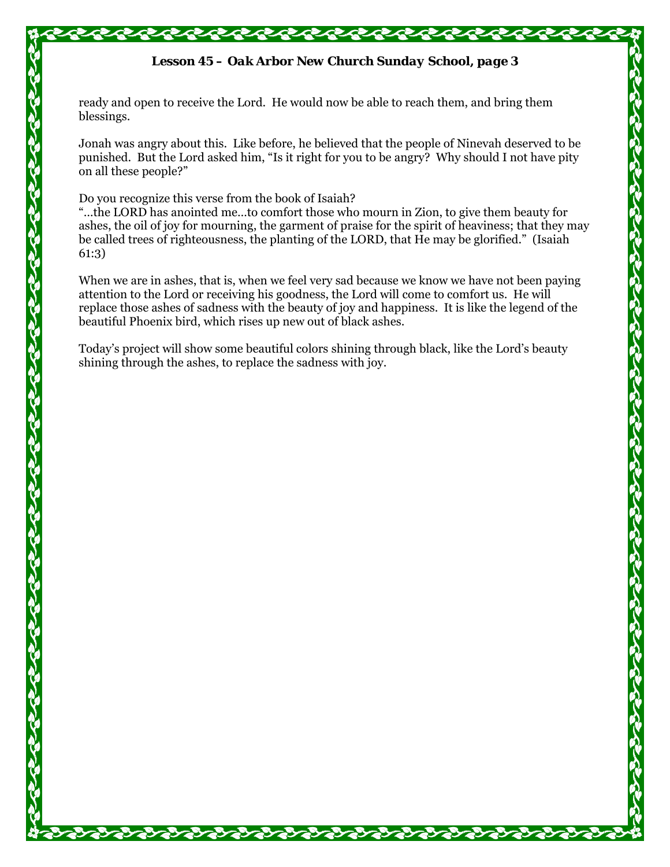### *Lesson 45 – Oak Arbor New Church Sunday School, page 3*

ready and open to receive the Lord. He would now be able to reach them, and bring them blessings.

Jonah was angry about this. Like before, he believed that the people of Ninevah deserved to be punished. But the Lord asked him, "Is it right for you to be angry? Why should I not have pity on all these people?"

Do you recognize this verse from the book of Isaiah?

"…the LORD has anointed me…to comfort those who mourn in Zion, to give them beauty for ashes, the oil of joy for mourning, the garment of praise for the spirit of heaviness; that they may be called trees of righteousness, the planting of the LORD, that He may be glorified." (Isaiah 61:3)

When we are in ashes, that is, when we feel very sad because we know we have not been paying attention to the Lord or receiving his goodness, the Lord will come to comfort us. He will replace those ashes of sadness with the beauty of joy and happiness. It is like the legend of the beautiful Phoenix bird, which rises up new out of black ashes.

Today's project will show some beautiful colors shining through black, like the Lord's beauty shining through the ashes, to replace the sadness with joy.